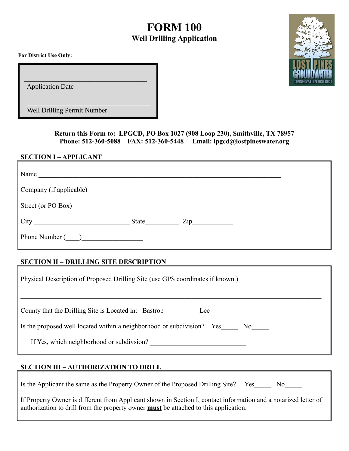# **FORM 100 Well Drilling Application**

**For District Use Only:**

Application Date

 $\overline{\phantom{a}}$  , which is a set of the set of the set of the set of the set of the set of the set of the set of the set of the set of the set of the set of the set of the set of the set of the set of the set of the set of th Well Drilling Permit Number

 $\_$ 

**Return this Form to: LPGCD, PO Box 1027 (908 Loop 230), Smithville, TX 78957 Phone: 512-360-5088 FAX: 512-360-5448 Email: lpgcd@lostpineswater.org**

#### **SECTION I – APPLICANT**

| Name                    |  |
|-------------------------|--|
|                         |  |
| Street (or PO Box)      |  |
| State<br>$\mathsf{Zip}$ |  |
| Phone Number ()         |  |

## **SECTION II – DRILLING SITE DESCRIPTION**

| Physical Description of Proposed Drilling Site (use GPS coordinates if known.)  |
|---------------------------------------------------------------------------------|
| County that the Drilling Site is Located in: Bastrop<br>Lee                     |
| Is the proposed well located within a neighborhood or subdivision? Yes<br>No no |
| If Yes, which neighborhood or subdivison?                                       |

## **SECTION III – AUTHORIZATION TO DRILL**

|  |  |  | Is the Applicant the same as the Property Owner of the Proposed Drilling Site? Yes |  |  |
|--|--|--|------------------------------------------------------------------------------------|--|--|
|--|--|--|------------------------------------------------------------------------------------|--|--|

| If Property Owner is different from Applicant shown in Section I, contact information and a notarized letter of |
|-----------------------------------------------------------------------------------------------------------------|
| authorization to drill from the property owner <b>must</b> be attached to this application.                     |